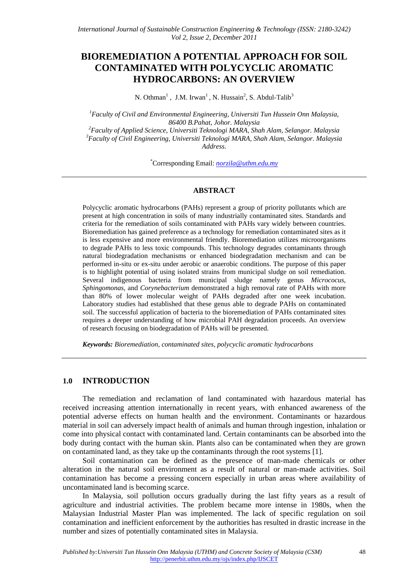# **BIOREMEDIATION A POTENTIAL APPROACH FOR SOIL CONTAMINATED WITH POLYCYCLIC AROMATIC HYDROCARBONS: AN OVERVIEW**

N. Othman<sup>1</sup>, J.M. Irwan<sup>1</sup>, N. Hussain<sup>2</sup>, S. Abdul-Talib<sup>3</sup>

*1 Faculty of Civil and Environmental Engineering, Universiti Tun Hussein Onn Malaysia, 86400 B.Pahat, Johor. Malaysia 2 Faculty of Applied Science, Universiti Teknologi MARA, Shah Alam, Selangor. Malaysia* 

*3 Faculty of Civil Engineering, Universiti Teknologi MARA, Shah Alam, Selangor. Malaysia Address*.

\* Corresponding Email: *[norzila@uthm.edu.my](mailto:norzila@uthm.edu.my)*

#### **ABSTRACT**

Polycyclic aromatic hydrocarbons (PAHs) represent a group of priority pollutants which are present at high concentration in soils of many industrially contaminated sites. Standards and criteria for the remediation of soils contaminated with PAHs vary widely between countries. Bioremediation has gained preference as a technology for remediation contaminated sites as it is less expensive and more environmental friendly. Bioremediation utilizes microorganisms to degrade PAHs to less toxic compounds. This technology degrades contaminants through natural biodegradation mechanisms or enhanced biodegradation mechanism and can be performed in-situ or ex-situ under aerobic or anaerobic conditions. The purpose of this paper is to highlight potential of using isolated strains from municipal sludge on soil remediation. Several indigenous bacteria from municipal sludge namely genus *Micrococus, Sphingomonas*, and *Corynebacterium* demonstrated a high removal rate of PAHs with more than 80% of lower molecular weight of PAHs degraded after one week incubation. Laboratory studies had established that these genus able to degrade PAHs on contaminated soil. The successful application of bacteria to the bioremediation of PAHs contaminated sites requires a deeper understanding of how microbial PAH degradation proceeds. An overview of research focusing on biodegradation of PAHs will be presented.

*Keywords: Bioremediation, contaminated sites, polycyclic aromatic hydrocarbons* 

#### **1.0 INTRODUCTION**

The remediation and reclamation of land contaminated with hazardous material has received increasing attention internationally in recent years, with enhanced awareness of the potential adverse effects on human health and the environment. Contaminants or hazardous material in soil can adversely impact health of animals and human through ingestion, inhalation or come into physical contact with contaminated land. Certain contaminants can be absorbed into the body during contact with the human skin. Plants also can be contaminated when they are grown on contaminated land, as they take up the contaminants through the root systems [1].

Soil contamination can be defined as the presence of man-made chemicals or other alteration in the natural soil environment as a result of natural or man-made activities. Soil contamination has become a pressing concern especially in urban areas where availability of uncontaminated land is becoming scarce.

In Malaysia, soil pollution occurs gradually during the last fifty years as a result of agriculture and industrial activities. The problem became more intense in 1980s, when the Malaysian Industrial Master Plan was implemented. The lack of specific regulation on soil contamination and inefficient enforcement by the authorities has resulted in drastic increase in the number and sizes of potentially contaminated sites in Malaysia.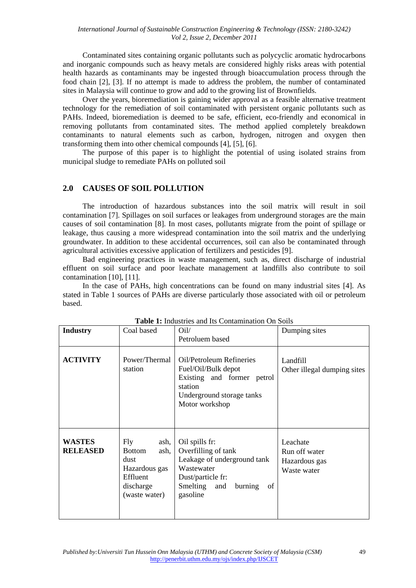Contaminated sites containing organic pollutants such as polycyclic aromatic hydrocarbons and inorganic compounds such as heavy metals are considered highly risks areas with potential health hazards as contaminants may be ingested through bioaccumulation process through the food chain [2], [3]. If no attempt is made to address the problem, the number of contaminated sites in Malaysia will continue to grow and add to the growing list of Brownfields.

Over the years, bioremediation is gaining wider approval as a feasible alternative treatment technology for the remediation of soil contaminated with persistent organic pollutants such as PAHs. Indeed, bioremediation is deemed to be safe, efficient, eco-friendly and economical in removing pollutants from contaminated sites. The method applied completely breakdown contaminants to natural elements such as carbon, hydrogen, nitrogen and oxygen then transforming them into other chemical compounds [4], [5], [6].

The purpose of this paper is to highlight the potential of using isolated strains from municipal sludge to remediate PAHs on polluted soil

### **2.0 CAUSES OF SOIL POLLUTION**

The introduction of hazardous substances into the soil matrix will result in soil contamination [7]. Spillages on soil surfaces or leakages from underground storages are the main causes of soil contamination [8]. In most cases, pollutants migrate from the point of spillage or leakage, thus causing a more widespread contamination into the soil matrix and the underlying groundwater. In addition to these accidental occurrences, soil can also be contaminated through agricultural activities excessive application of fertilizers and pesticides [9].

Bad engineering practices in waste management, such as, direct discharge of industrial effluent on soil surface and poor leachate management at landfills also contribute to soil contamination [10], [11].

In the case of PAHs, high concentrations can be found on many industrial sites [4]. As stated in Table 1 sources of PAHs are diverse particularly those associated with oil or petroleum based.

| <b>Industry</b>                  | Coal based                                                                                              | Oil/<br>Petroluem based                                                                                                                                 | Dumping sites                                             |
|----------------------------------|---------------------------------------------------------------------------------------------------------|---------------------------------------------------------------------------------------------------------------------------------------------------------|-----------------------------------------------------------|
| <b>ACTIVITY</b>                  | Power/Thermal<br>station                                                                                | Oil/Petroleum Refineries<br>Fuel/Oil/Bulk depot<br>Existing and former petrol<br>station<br>Underground storage tanks<br>Motor workshop                 | Landfill<br>Other illegal dumping sites                   |
| <b>WASTES</b><br><b>RELEASED</b> | Fly<br>ash,<br><b>Bottom</b><br>ash,<br>dust<br>Hazardous gas<br>Effluent<br>discharge<br>(waste water) | Oil spills fr:<br>Overfilling of tank<br>Leakage of underground tank<br>Wastewater<br>Dust/particle fr:<br>Smelting<br>and<br>burning<br>of<br>gasoline | Leachate<br>Run off water<br>Hazardous gas<br>Waste water |

**Table 1:** Industries and Its Contamination On Soils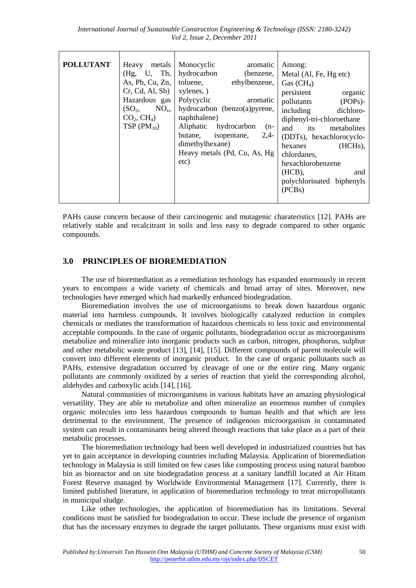| <b>POLLUTANT</b> | Heavy metals<br>(Hg, U, Th,<br>As, Pb, Cu, Zn,<br>Cr, Cd, Al, Sb)<br>Hazardous gas<br>(SO <sub>2</sub> ,<br>$NO_{x}$<br>CO <sub>2</sub> , CH <sub>4</sub> )<br>$TSP(PM_{10})$ | Monocyclic<br>aromatic<br>hydrocarbon<br>(benzene,<br>toluene,<br>ethylbenzene,<br>xylenes, )<br>Polycyclic<br>aromatic<br>hydrocarbon (benzo(a)pyrene,<br>naphthalene)<br>Aliphatic hydrocarbon<br>$(n-$<br>butane,<br>isopentane,<br>$2,4-$<br>dimethylhexane)<br>Heavy metals (Pd, Cu, As, Hg<br>etc) | Among:<br>Metal (Al, Fe, Hg etc)<br>Gas $(CH_4)$<br>persistent<br>organic<br>$(POPs)$ -<br>pollutants<br>including<br>dichloro-<br>diphenyl-tri-chloroethane<br>and<br>its<br>metabolites<br>(DDTs), hexachlorocyclo-<br>$(HCHs)$ ,<br>hexanes<br>chlordanes,<br>hexachlorobenzene<br>(HCB),<br>and<br>polychlorinated biphenyls<br>(PCBs) |
|------------------|-------------------------------------------------------------------------------------------------------------------------------------------------------------------------------|----------------------------------------------------------------------------------------------------------------------------------------------------------------------------------------------------------------------------------------------------------------------------------------------------------|--------------------------------------------------------------------------------------------------------------------------------------------------------------------------------------------------------------------------------------------------------------------------------------------------------------------------------------------|

PAHs cause concern because of their carcinogenic and mutagenic charateristics [12]. PAHs are relatively stable and recalcitrant in soils and less easy to degrade compared to other organic compounds.

## **3.0 PRINCIPLES OF BIOREMEDIATION**

The use of bioremediation as a remediation technology has expanded enormously in recent years to encompass a wide variety of chemicals and broad array of sites. Moreover, new technologies have emerged which had markedly enhanced biodegradation.

Bioremediation involves the use of microorganisms to break down hazardous organic material into harmless compounds. It involves biologically catalyzed reduction in complex chemicals or mediates the transformation of hazardous chemicals to less toxic and environmental acceptable compounds. In the case of organic pollutants, biodegradation occur as microorganisms metabolize and mineralize into inorganic products such as carbon, nitrogen, phosphorus, sulphur and other metabolic waste product [13], [14], [15]. Different compounds of parent molecule will convert into different elements of inorganic product. In the case of organic pollutants such as PAHs, extensive degradation occurred by cleavage of one or the entire ring. Many organic pollutants are commonly oxidized by a series of reaction that yield the corresponding alcohol, aldehydes and carboxylic acids [14], [16].

Natural communities of microorganisms in various habitats have an amazing physiological versatility. They are able to metabolize and often mineralize an enormous number of complex organic molecules into less hazardous compounds to human health and that which are less detrimental to the environment. The presence of indigenous microorganism in contaminated system can result in contaminants being altered through reactions that take place as a part of their metabolic processes.

The bioremediation technology had been well developed in industrialized countries but has yet to gain acceptance in developing countries including Malaysia. Application of bioremediation technology in Malaysia is still limited on few cases like composting process using natural bamboo bin as bioreactor and on site biodegradation process at a sanitary landfill located at Air Hitam Forest Reserve managed by Worldwide Environmental Management [17]. Currently, there is limited published literature, in application of bioremediation technology to treat micropollutants in municipal sludge.

Like other technologies, the application of bioremediation has its limitations. Several conditions must be satisfied for biodegradation to occur. These include the presence of organism that has the necessary enzymes to degrade the target pollutants. These organisms must exist with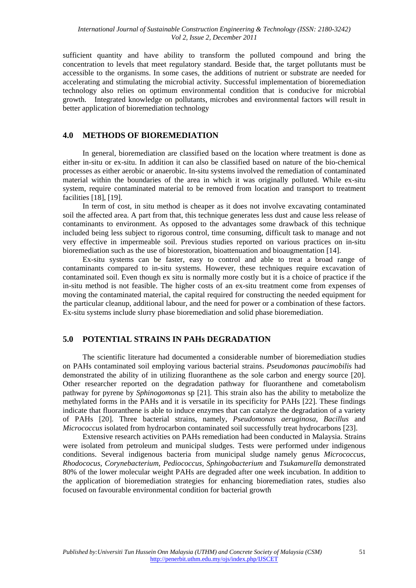sufficient quantity and have ability to transform the polluted compound and bring the concentration to levels that meet regulatory standard. Beside that, the target pollutants must be accessible to the organisms. In some cases, the additions of nutrient or substrate are needed for accelerating and stimulating the microbial activity. Successful implementation of bioremediation technology also relies on optimum environmental condition that is conducive for microbial growth. Integrated knowledge on pollutants, microbes and environmental factors will result in better application of bioremediation technology

### **4.0 METHODS OF BIOREMEDIATION**

 In general, bioremediation are classified based on the location where treatment is done as either in-situ or ex-situ. In addition it can also be classified based on nature of the bio-chemical processes as either aerobic or anaerobic. In-situ systems involved the remediation of contaminated material within the boundaries of the area in which it was originally polluted. While ex-situ system, require contaminated material to be removed from location and transport to treatment facilities [18], [19].

 In term of cost, in situ method is cheaper as it does not involve excavating contaminated soil the affected area. A part from that, this technique generates less dust and cause less release of contaminants to environment. As opposed to the advantages some drawback of this technique included being less subject to rigorous control, time consuming, difficult task to manage and not very effective in impermeable soil. Previous studies reported on various practices on in-situ bioremediation such as the use of biorestoration, bioattenuation and bioaugmentation [14].

 Ex-situ systems can be faster, easy to control and able to treat a broad range of contaminants compared to in-situ systems. However, these techniques require excavation of contaminated soil. Even though ex situ is normally more costly but it is a choice of practice if the in-situ method is not feasible. The higher costs of an ex-situ treatment come from expenses of moving the contaminated material, the capital required for constructing the needed equipment for the particular cleanup, additional labour, and the need for power or a combination of these factors. Ex-situ systems include slurry phase bioremediation and solid phase bioremediation.

## **5.0 POTENTIAL STRAINS IN PAHs DEGRADATION**

The scientific literature had documented a considerable number of bioremediation studies on PAHs contaminated soil employing various bacterial strains. *Pseudomonas paucimobilis* had demonstrated the ability of in utilizing fluoranthene as the sole carbon and energy source [20]. Other researcher reported on the degradation pathway for fluoranthene and cometabolism pathway for pyrene by *Sphinogomonas* sp [21]. This strain also has the ability to metabolize the methylated forms in the PAHs and it is versatile in its specificity for PAHs [22]. These findings indicate that fluoranthene is able to induce enzymes that can catalyze the degradation of a variety of PAHs [20]. Three bacterial strains, namely, *Pseudomonas aeruginosa, Bacillus* and *Micrococcus* isolated from hydrocarbon contaminated soil successfully treat hydrocarbons [23].

Extensive research activities on PAHs remediation had been conducted in Malaysia. Strains were isolated from petroleum and municipal sludges. Tests were performed under indigenous conditions. Several indigenous bacteria from municipal sludge namely genus *Micrococcus, Rhodococus, Corynebacterium, Pediococcus, Sphingobacterium* and *Tsukamurella* demonstrated 80% of the lower molecular weight PAHs are degraded after one week incubation. In addition to the application of bioremediation strategies for enhancing bioremediation rates, studies also focused on favourable environmental condition for bacterial growth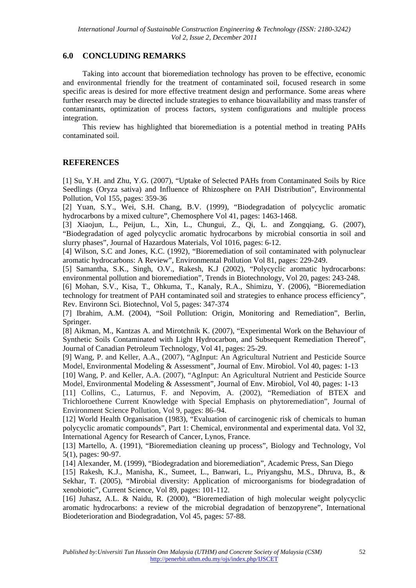## **6.0 CONCLUDING REMARKS**

Taking into account that bioremediation technology has proven to be effective, economic and environmental friendly for the treatment of contaminated soil, focused research in some specific areas is desired for more effective treatment design and performance. Some areas where further research may be directed include strategies to enhance bioavailability and mass transfer of contaminants, optimization of process factors, system configurations and multiple process integration.

This review has highlighted that bioremediation is a potential method in treating PAHs contaminated soil.

### **REFERENCES**

[1] Su, Y.H. and Zhu, Y.G. (2007), "Uptake of Selected PAHs from Contaminated Soils by Rice Seedlings (Oryza sativa) and Influence of Rhizosphere on PAH Distribution", Environmental Pollution, Vol 155, pages: 359-36

[2] Yuan, S.Y., Wei, S.H. Chang, B.V. (1999), "Biodegradation of polycyclic aromatic hydrocarbons by a mixed culture", Chemosphere Vol 41, pages: 1463-1468.

[3] Xiaojun, L., Peijun, L., Xin, L., Chungui, Z., Qi, L. and Zongqiang, G. (2007), "Biodegradation of aged polycyclic aromatic hydrocarbons by microbial consortia in soil and slurry phases", Journal of Hazardous Materials, Vol 1016, pages: 6-12.

[4] Wilson, S.C and Jones, K.C. (1992), "Bioremediation of soil contaminated with polynuclear aromatic hydrocarbons: A Review", Environmental Pollution Vol 81, pages: 229-249.

[5] Samantha, S.K., Singh, O.V., Rakesh, K.J (2002), "Polycyclic aromatic hydrocarbons: environmental pollution and bioremediation", Trends in Biotechnology, Vol 20, pages: 243-248.

[6] Mohan, S.V., Kisa, T., Ohkuma, T., Kanaly, R.A., Shimizu, Y. (2006), "Bioremediation technology for treatment of PAH contaminated soil and strategies to enhance process efficiency", Rev. Environn Sci. Biotechnol, Vol 5, pages: 347-374

[7] Ibrahim, A.M. (2004), "Soil Pollution: Origin, Monitoring and Remediation", Berlin, Springer.

[8] Aikman, M., Kantzas A. and Mirotchnik K. (2007), "Experimental Work on the Behaviour of Synthetic Soils Contaminated with Light Hydrocarbon, and Subsequent Remediation Thereof", Journal of Canadian Petroleum Technology, Vol 41, pages: 25-29.

[9] Wang, P. and Keller, A.A., (2007), "AgInput: An Agricultural Nutrient and Pesticide Source Model, Environmental Modeling & Assessment", Journal of Env. Mirobiol. Vol 40, pages: 1-13

[10] Wang, P. and Keller, A.A. (2007), "AgInput: An Agricultural Nutrient and Pesticide Source Model, Environmental Modeling & Assessment", Journal of Env. Mirobiol, Vol 40, pages: 1-13

[11] Collins, C., Laturnus, F. and Nepovim, A. (2002), "Remediation of BTEX and Trichloroethene Current Knowledge with Special Emphasis on phytoremediation", Journal of Environment Science Pollution, Vol 9, pages: 86–94.

[12] World Health Organisation (1983), "Evaluation of carcinogenic risk of chemicals to human polycyclic aromatic compounds", Part 1: Chemical, environmental and experimental data. Vol 32, International Agency for Research of Cancer, Lynos, France.

[13] Martello, A. (1991), "Bioremediation cleaning up process", Biology and Technology, Vol 5(1), pages: 90-97.

[14] Alexander, M. (1999), "Biodegradation and bioremediation", Academic Press, San Diego

[15] Rakesh, K.J., Manisha, K., Sumeet, L., Banwari, L., Priyangshu, M.S., Dhruva, B., & Sekhar, T. (2005), "Mirobial diversity: Application of microorganisms for biodegradation of xenobiotic", Current Science, Vol 89, pages: 101-112.

[16] Juhasz, A.L. & Naidu, R. (2000), "Bioremediation of high molecular weight polycyclic aromatic hydrocarbons: a review of the microbial degradation of benzopyrene", International Biodeterioration and Biodegradation, Vol 45, pages: 57-88.